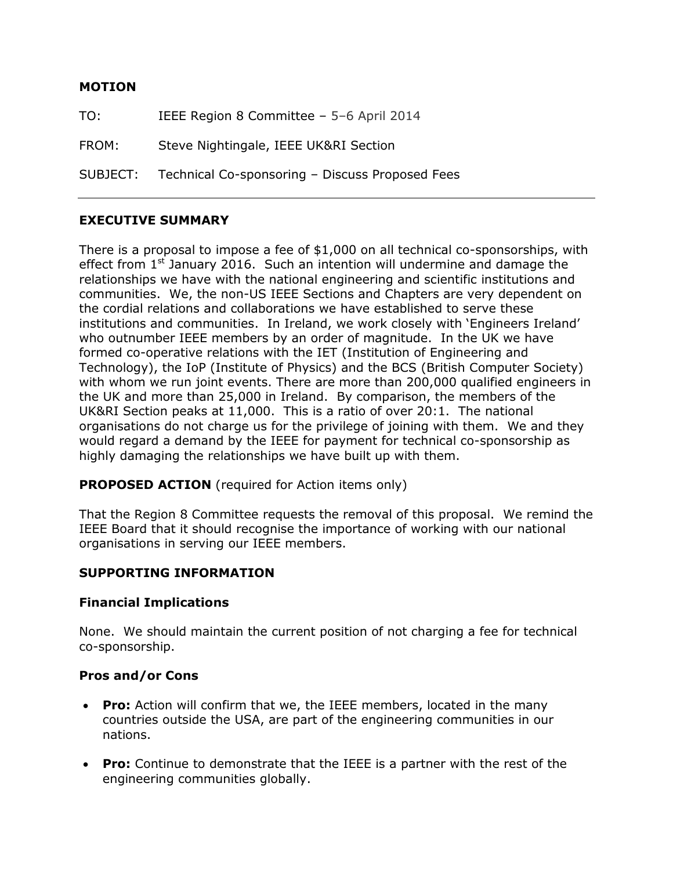#### **MOTION**

TO: IEEE Region 8 Committee – 5–6 April 2014 FROM: Steve Nightingale, IEEE UK&RI Section SUBJECT: Technical Co-sponsoring – Discuss Proposed Fees

# **EXECUTIVE SUMMARY**

There is a proposal to impose a fee of \$1,000 on all technical co-sponsorships, with effect from  $1<sup>st</sup>$  January 2016. Such an intention will undermine and damage the relationships we have with the national engineering and scientific institutions and communities. We, the non-US IEEE Sections and Chapters are very dependent on the cordial relations and collaborations we have established to serve these institutions and communities. In Ireland, we work closely with 'Engineers Ireland' who outnumber IEEE members by an order of magnitude. In the UK we have formed co-operative relations with the IET (Institution of Engineering and Technology), the IoP (Institute of Physics) and the BCS (British Computer Society) with whom we run joint events. There are more than 200,000 qualified engineers in the UK and more than 25,000 in Ireland. By comparison, the members of the UK&RI Section peaks at 11,000. This is a ratio of over 20:1. The national organisations do not charge us for the privilege of joining with them. We and they would regard a demand by the IEEE for payment for technical co-sponsorship as highly damaging the relationships we have built up with them.

## **PROPOSED ACTION** (required for Action items only)

That the Region 8 Committee requests the removal of this proposal. We remind the IEEE Board that it should recognise the importance of working with our national organisations in serving our IEEE members.

## **SUPPORTING INFORMATION**

## **Financial Implications**

None. We should maintain the current position of not charging a fee for technical co-sponsorship.

#### **Pros and/or Cons**

- **Pro:** Action will confirm that we, the IEEE members, located in the many countries outside the USA, are part of the engineering communities in our nations.
- **Pro:** Continue to demonstrate that the IEEE is a partner with the rest of the engineering communities globally.